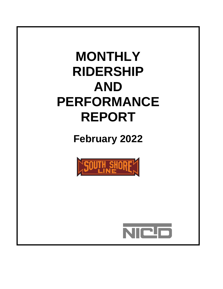# **MONTHLY RIDERSHIP AND PERFORMANCE REPORT**

**February 2022**



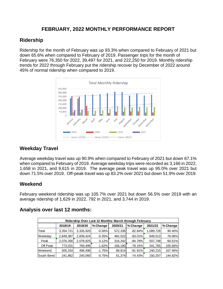#### **FEBRUARY, 2022 MONTHLY PERFORMANCE REPORT**

#### **Ridership**

Ridership for the month of February was up 93.3% when compared to February of 2021 but down 65.6% when compared to February of 2019. Passenger trips for the month of February were 76,350 for 2022, 39,497 for 2021, and 222,250 for 2019. Monthly ridership trends for 2022 through February put the ridership recover by December of 2022 around 45% of normal ridership when compared to 2019.



### **Weekday Travel**

Average weekday travel was up 90.9% when compared to February of 2021 but down 67.1% when compared to February of 2019. Average weekday trips were recorded as 3,166 in 2022, 1,658 in 2021, and 9,615 in 2019. The average peak travel was up 95.0% over 2021 but down 71.5% over 2019. Off-peak travel was up 83.2% over 2021 but down 51.9% over 2019.

#### **Weekend**

February weekend ridership was up 105.7% over 2021 but down 56.5% over 2019 with an average ridership of 1,629 in 2022, 792 in 2021, and 3,744 in 2019.

| Ridership Over Last 12 Months: March through February |           |           |          |         |           |           |          |  |
|-------------------------------------------------------|-----------|-----------|----------|---------|-----------|-----------|----------|--|
|                                                       | 2018/19   | 2019/20   | % Change | 2020/21 | % Change  | 2021/22   | % Change |  |
| Total                                                 | 3,354,721 | 3,335,920 | $-0.56%$ | 572,336 | $-82.84%$ | 1,089,728 | 90.40%   |  |
| Weekday                                               | 2,849,387 | 2,839,424 | $-0.35%$ | 482,522 | $-83.01%$ | 849,513   | 76.06%   |  |
| Peak                                                  | 2,076,356 | 2,078,925 | 0.12%    | 316,342 | $-84.78%$ | 507,748   | 60.51%   |  |
| Off Peak                                              | 773,031   | 760,499   | $-1.62%$ | 166,180 | $-78.15%$ | 341,765   | 105.66%  |  |
| <b>Weekend</b>                                        | 505,334   | 496,496   | $-1.75%$ | 89,814  | $-81.91%$ | 240,215   | 167.46%  |  |
| South Bend                                            | 241,862   | 240,060   | $-0.75%$ | 61,374  | $-74.43%$ | 150,257   | 144.82%  |  |

#### **Analysis over last 12 months:**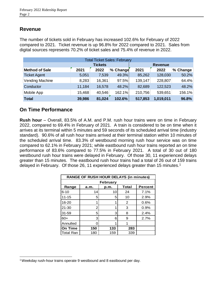#### **Revenue**

The number of tickets sold in February has increased 102.6% for February of 2022 compared to 2021. Ticket revenue is up 96.8% for 2022 compared to 2021. Sales from digital sources represents 70.2% of ticket sales and 75.4% of revenue in 2022.

|                       |                |        | <b>Total Ticket Sales: February</b> |         |           |          |
|-----------------------|----------------|--------|-------------------------------------|---------|-----------|----------|
|                       | <b>Tickets</b> |        |                                     |         |           |          |
| <b>Method of Sale</b> | 2021           | 2022   | % Change                            | 2021    | 2022      | % Change |
| <b>Ticket Agent</b>   | 5,051          | 7,539  | 49.3%                               | 85,262  | 128,030   | 50.2%    |
| Vending Machine       | 8,283          | 16,361 | 97.5%                               | 139,147 | 228,807   | 64.4%    |
| Conductor             | 11,184         | 16,578 | 48.2%                               | 82,689  | 122,523   | 48.2%    |
| Mobile App            | 15,468         | 40,546 | 162.1%                              | 210,756 | 539,651   | 156.1%   |
| <b>Total</b>          | 39,986         | 81,024 | 102.6%                              | 517,853 | 1,019,011 | 96.8%    |

#### **On Time Performance**

**Rush hour** – Overall, 83.5% of A.M. and P.M. rush hour trains were on time in February 2022, compared to 69.4% in February of 2021. A train is considered to be on time when it arrives at its terminal within 5 minutes and 59 seconds of its scheduled arrival time (industry standard). 90.6% of all rush hour trains arrived at their terminal station within 10 minutes of the scheduled arrival time. 83.3% of westbound morning rush hour service was on time compared to 62.1% in February 2021; while eastbound rush hour trains reported an on time performance of 83.6% compared to 77.5% in February 2021. A total of 30 out of 180 westbound rush hour trains were delayed in February. Of those 30, 11 experienced delays greater than 15 minutes. The eastbound rush hour trains had a total of 26 out of 159 trains delayed in February. Of those 26, 11 experienced delays greater than 15 minutes.<sup>1</sup>

|                  | <b>RANGE OF RUSH HOUR DELAYS (in minutes)</b> |      |       |                |  |  |  |  |
|------------------|-----------------------------------------------|------|-------|----------------|--|--|--|--|
|                  | <b>February</b>                               |      |       |                |  |  |  |  |
| Range            | a.m.                                          | p.m. | Total | <b>Percent</b> |  |  |  |  |
| $6 - 10$         | 14                                            | 10   | 24    | 7.1%           |  |  |  |  |
| $11 - 15$        | 5                                             | 5    | 10    | 2.9%           |  |  |  |  |
| 16-20            | 1                                             | 1    | 2     | 0.6%           |  |  |  |  |
| 21-30            | 2                                             | 1    | 3     | 0.9%           |  |  |  |  |
| $31 - 59$        | 5                                             | 3    | 8     | 2.4%           |  |  |  |  |
| $60+$            | 3                                             | 6    | 9     | 2.7%           |  |  |  |  |
| Annulled         | Ω                                             | 1    | 1     |                |  |  |  |  |
| On Time          | 150                                           | 133  | 283   |                |  |  |  |  |
| <b>Total Ran</b> | 180                                           | 159  | 339   |                |  |  |  |  |

l <sup>1</sup>Weekday rush-hour trains operate 9 westbound and 8 eastbound per day.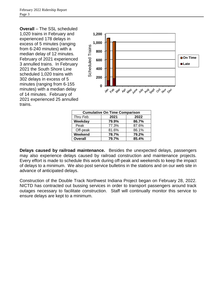**Overall** – The SSL scheduled 1,020 trains in February and experienced 178 delays in excess of 5 minutes (ranging from 6-240 minutes) with a median delay of 12 minutes. February of 2021 experienced 3 annulled trains. In February 2021 the South Shore Line scheduled 1,020 trains with 302 delays in excess of 5 minutes (ranging from 6-155 minutes) with a median delay of 14 minutes. February of 2021 experienced 25 annulled trains.



| <b>Cumulative On Time Comparison</b> |       |       |  |  |  |  |  |
|--------------------------------------|-------|-------|--|--|--|--|--|
| Thru Feb.                            | 2021  | 2022  |  |  |  |  |  |
| Weekday                              | 79.9% | 86.7% |  |  |  |  |  |
| Peak                                 | 77.3% | 87.6% |  |  |  |  |  |
| Off-peak                             | 81.6% | 86.1% |  |  |  |  |  |
| Weekend                              | 78.7% | 79.2% |  |  |  |  |  |
| <b>Overall</b>                       | 79.7% | 85.4% |  |  |  |  |  |

**Delays caused by railroad maintenance.** Besides the unexpected delays, passengers may also experience delays caused by railroad construction and maintenance projects. Every effort is made to schedule this work during off-peak and weekends to keep the impact of delays to a minimum. We also post service bulletins in the stations and on our web site in advance of anticipated delays.

Construction of the Double Track Northwest Indiana Project began on February 28, 2022. NICTD has contracted out bussing services in order to transport passengers around track outages necessary to facilitate construction. Staff will continually monitor this service to ensure delays are kept to a minimum.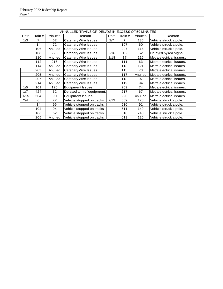|      | ANNULLED TRAINS OR DELAYS IN EXCESS OF 59 MINUTES |                |                             |      |         |                |                          |  |  |
|------|---------------------------------------------------|----------------|-----------------------------|------|---------|----------------|--------------------------|--|--|
| Date | Train #                                           | <b>Minutes</b> | Reason                      | Date | Train # | <b>Minutes</b> | Reason                   |  |  |
| 1/3  | $\overline{7}$                                    | 62             | <b>Catenary Wire Issues</b> | 2/7  | 7       | 136            | Vehicle struck a pole.   |  |  |
|      | 14                                                | 72             | Catenary Wire Issues        |      | 107     | 60             | Vehicle struck a pole.   |  |  |
|      | 106                                               | Anulled        | <b>Catenary Wire Issues</b> |      | 207     | 116            | Vehicle struck a pole.   |  |  |
|      | 108                                               | 226            | Catenary Wire Issues        | 2/16 | 18      | 62             | Delayed by red signal.   |  |  |
|      | 110                                               | Anulled        | <b>Catenary Wire Issues</b> | 2/18 | 17      | 115            | Metra electrical issues. |  |  |
|      | 112                                               | 216            | Catenary Wire Issues        |      | 111     | 63             | Metra electrical issues. |  |  |
|      | 114                                               | Anulled        | <b>Catenary Wire Issues</b> |      | 113     | 121            | Metra electrical issues. |  |  |
|      | 203                                               | Anulled        | <b>Catenary Wire Issues</b> |      | 115     | 73             | Metra electrical issues. |  |  |
|      | 205                                               | Anulled        | <b>Catenary Wire Issues</b> |      | 117     | Anulled        | Metra electrical issues. |  |  |
|      | 207                                               | Anulled        | <b>Catenary Wire Issues</b> |      | 118     | 97             | Metra electrical issues. |  |  |
|      | 214                                               | Anulled        | <b>Catenary Wire Issues</b> |      | 119     | 94             | Metra electrical issues. |  |  |
| 1/5  | 101                                               | 126            | <b>Equipment Issues</b>     |      | 209     | 74             | Metra electrical issues. |  |  |
| 1/7  | 424                                               | 62             | Delayed turn of equipment.  |      | 217     | 67             | Metra electrical issues. |  |  |
| 1/15 | 504                                               | 90             | <b>Equipment Issues</b>     |      | 220     | Anulled        | Metra electrical issues. |  |  |
| 2/4  | 6                                                 | 72             | Vehicle stopped on tracks   | 2/19 | 509     | 178            | Vehicle struck a pole.   |  |  |
|      | 14                                                | 96             | Vehicle stopped on tracks   |      | 510     | 91             | Vehicle struck a pole.   |  |  |
|      | 104                                               | 94             | Vehicle stopped on tracks   |      | 511     | 149            | Vehicle struck a pole.   |  |  |
|      | 106                                               | 62             | Vehicle stopped on tracks   |      | 610     | 240            | Vehicle struck a pole.   |  |  |
|      | 205                                               | Anulled        | Vehicle stopped on tracks   |      | 613     | 120            | Vehicle struck a pole.   |  |  |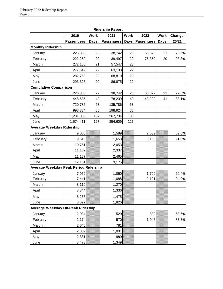|                                       |                   |             | Kidership Keport  |             |            |             |        |
|---------------------------------------|-------------------|-------------|-------------------|-------------|------------|-------------|--------|
|                                       | 2019              | <b>Work</b> | 2021              | <b>Work</b> | 2022       | <b>Work</b> | Change |
|                                       | <b>Passengers</b> | <b>Days</b> | <b>Passengers</b> | <b>Days</b> | Passengers | <b>Days</b> | 20/21  |
| <b>Monthly Ridership</b>              |                   |             |                   |             |            |             |        |
| January                               | 226,385           | 22          | 38,742            | 20          | 66,872     | 21          | 72.6%  |
| February                              | 222,250           | 20          | 39,497            | 20          | 76,350     | 20          | 93.3%  |
| March                                 | 272,150           | 21          | 57,547            | 23          |            |             |        |
| April                                 | 277,549           | 22          | 63,138            | 22          |            |             |        |
| May                                   | 282,752           | 22          | 68,810            | 20          |            |             |        |
| June                                  | 293,325           | 20          | 86,875            | 22          |            |             |        |
| <b>Cumulative Comparison</b>          |                   |             |                   |             |            |             |        |
| January                               | 226,385           | 22          | 38,742            | 20          | 66,872     | 21          | 72.6%  |
| February                              | 448,635           | 42          | 78,239            | 40          | 143,222    | 41          | 83.1%  |
| March                                 | 720,785           | 63          | 135,786           | 63          |            |             |        |
| April                                 | 998,334           | 85          | 198,924           | 85          |            |             |        |
| May                                   | 1,281,086         | 107         | 267,734           | 105         |            |             |        |
| June                                  | 1,574,411         | 127         | 354,609           | 127         |            |             |        |
| Average Weekday Ridership             |                   |             |                   |             |            |             |        |
| January                               | 9,086             |             | 1,589             |             | 2,539      |             | 59.8%  |
| February                              | 9,615             |             | 1,658             |             | 3,166      |             | 91.0%  |
| March                                 | 10,761            |             | 2,053             |             |            |             |        |
| April                                 | 11,182            |             | 2,337             |             |            |             |        |
| May                                   | 11,167            |             | 2,465             |             |            |             |        |
| June                                  | 12,101            |             | 3,175             |             |            |             |        |
| Average Weekday Peak Period Ridership |                   |             |                   |             |            |             |        |
| January                               | 7,052             |             | 1,060             |             | 1,700      |             | 60.4%  |
| February                              | 7,441             |             | 1,088             |             | 2,121      |             | 94.9%  |
| March                                 | 8,116             |             | 1,270             |             |            |             |        |
| April                                 | 8,344             |             | 1,336             |             |            |             |        |
| May                                   | 8,285             |             | 1,475             |             |            |             |        |
| June                                  | 8,627             |             | 1,826             |             |            |             |        |
| Average Weekday Off-Peak Ridership    |                   |             |                   |             |            |             |        |
| January                               | 2,034             |             | 529               |             | 839        |             | 58.6%  |
| February                              | 2,174             |             | 570               |             | 1,045      |             | 83.3%  |
| March                                 | 2,645             |             | 781               |             |            |             |        |
| April                                 | 2,839             |             | 1,001             |             |            |             |        |
| May                                   | 2,881             |             | 989               |             |            |             |        |
| June                                  | 3,473             |             | 1,349             |             |            |             |        |

**Ridership Report**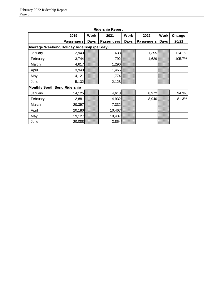|                                             | 2019              | <b>Work</b> | . .<br>2021 | <b>Work</b> | 2022              | Work | Change |
|---------------------------------------------|-------------------|-------------|-------------|-------------|-------------------|------|--------|
|                                             | <b>Passengers</b> | Days        | Passengers  | Days        | <b>Passengers</b> | Days | 20/21  |
| Average Weekend/Holiday Ridership (per day) |                   |             |             |             |                   |      |        |
| January                                     | 2,943             |             | 633         |             | 1,355             |      | 114.1% |
| February                                    | 3,744             |             | 792         |             | 1,629             |      | 105.7% |
| March                                       | 4,617             |             | 1,296       |             |                   |      |        |
| April                                       | 3,943             |             | 1,465       |             |                   |      |        |
| May                                         | 4,121             |             | 1,774       |             |                   |      |        |
| June                                        | 5,132             |             | 2,128       |             |                   |      |        |
| <b>Monthly South Bend Ridership</b>         |                   |             |             |             |                   |      |        |
| January                                     | 14,125            |             | 4,618       |             | 8,972             |      | 94.3%  |
| February                                    | 12,881            |             | 4,932       |             | 8,940             |      | 81.3%  |
| March                                       | 20,397            |             | 7,332       |             |                   |      |        |
| April                                       | 20,180            |             | 10,467      |             |                   |      |        |
| May                                         | 19,127            |             | 10,437      |             |                   |      |        |
| June                                        | 20,088            |             | 3,854       |             |                   |      |        |

#### **Ridership Report**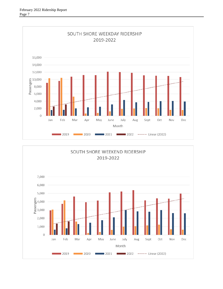

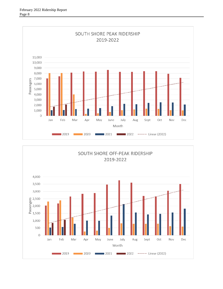

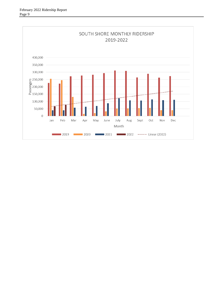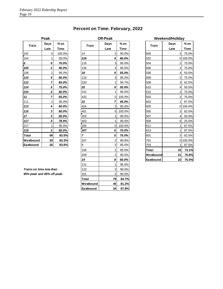#### **Percent on Time: February, 2022**

**Off-Peak** 

|              | Peak         |                       |                | <b>Off-Peak</b> |                | W            |
|--------------|--------------|-----------------------|----------------|-----------------|----------------|--------------|
| <b>Train</b> | Days<br>Late | $%$ on<br><b>Time</b> | <b>Train</b>   | Days<br>Late    | $%$ on<br>Time | <b>Train</b> |
| 102          | 0            | 100.0%                | 14             | 2               | 90.0%          | 600          |
| 104          | 1            | 95.0%                 | 216            | 4               | 80.0%          | 502          |
| $\pmb{6}$    | 6            | 70.0%                 | 116            | 3               | 85.0%          | 504          |
| 106          | $\mathbf 2$  | 90.0%                 | 218            | 3               | 85.0%          | 606          |
| 108          | 1            | 95.0%                 | 18             | 9               | 55.0%          | 506          |
| 110          | 4            | 80.0%                 | 118            | 3               | 85.0%          | 608          |
| 112          | 7            | 65.0%                 | 220            | 1               | 94.7%          | 508          |
| 114          | 5            | 75.0%                 | 20             | 9               | 55.0%          | 610          |
| 214          | 4            | 80.0%                 | 222            | 1               | 95.0%          | 510          |
| 11           | 7            | 65.0%                 | 420            | 0               | 100.0%         | 503          |
| 111          | 1            | 95.0%                 | 22             | 7               | 65.0%          | 603          |
| 113          | 4            | 80.0%                 | 424            | 3               | 85.0%          | 605          |
| 115          | 3            | 85.0%                 | 401            | $\mathbf 0$     | 100.0%         | 505          |
| 17           | 3            | 85.0%                 | 203            | 1               | 95.0%          | 507          |
| 117          | 4            | 78.9%                 | 403            | 1               | 95.0%          | 509          |
| 217          | 1            | 95.0%                 | 205            | 0               | 100.0%         | 511          |
| 119          | 3            | 85.0%                 | 207            | 6               | 70.0%          | 613          |
| Total        | 56           | 83.5%                 | $\overline{7}$ | 5               | 75.0%          | 601          |
| Westbound    | 30           | 83.3%                 | 107            | $\overline{2}$  | 90.0%          | 701          |
| Eastbound    | 26           | 83.6%                 | 9              | 3               | 85.0%          | 703          |
|              |              |                       |                |                 |                |              |

**Late Time Late Time Late Time** 0 100.0% 14 2 90.0% 600 2 75.0% 1 95.0% *216 4 80.0%* 502 0 100.0% *6 70.0%* 116 3 85.0% 504 2 75.0% *2 90.0%* 218 3 85.0% 606 2 75.0% 1 95.0% *18 9 55.0%* 506 4 50.0% *4 80.0%* 118 3 85.0% 608 2 75.0% **7 65.0%** 220 1 94.7% 508 362.5% *5 75.0% 20 9 55.0%* 610 4 50.0% *4 80.0%* 222 1 95.0% 510 2 75.0% **7 65.0%** 420 **0** 100.0% 503 275.0% 1 95.0% *22 7 65.0%* 603 1 87.5% **4 80.0%** 424 3 85.0% 605 0100.0% *3 85.0%* 401 0 100.0% 505 3 62.5% *3 85.0%* 203 1 95.0% 507 4 50.0% **4 78.9%** 403 1 95.0% 509 6 25.0% 1 95.0% 205 0 100.0% 511 1 87.5% *3 85.0% 207 6 70.0%* 613 1 87.5% **Total 56 83.5%** *7 5 75.0%* 601 3 62.5% **Westbound 30 83.3%** 107 2 90.0% 701 0 100.0% **Eastbound 26 83.6%** 9 3 85.0% 703 1 87.5% *8 60.0%* **Eastbound 22 75.0%** 121 1 95.0% **Trains on time less than 123 123** 2 90.0% **95% peak and 85% off peak.** 101 101 2 90.0% **Total 79 84.7% Westbound 45 81.2% Eastbound 34 87.8%**

| eak            |             |                | Off-Peak       |             |              | Weekend/Holiday |             |  |  |
|----------------|-------------|----------------|----------------|-------------|--------------|-----------------|-------------|--|--|
| Days           | $%$ on      | <b>Train</b>   | Days           | $%$ on      | <b>Train</b> | Days            | $%$ on      |  |  |
| Late           | <b>Time</b> |                | Late           | <b>Time</b> |              | Late            | <b>Time</b> |  |  |
| 0              | 100.0%      | 14             | $\overline{2}$ | 90.0%       | 600          | 2               | 75.0%       |  |  |
| 1              | 95.0%       | 216            | 4              | 80.0%       | 502          |                 | 0 100.0%    |  |  |
| 6              | 70.0%       | 116            | 3              | 85.0%       | 504          | 2               | 75.0%       |  |  |
| $\mathbf 2$    | 90.0%       | 218            | 3              | 85.0%       | 606          | $\overline{2}$  | 75.0%       |  |  |
| 1              | 95.0%       | 18             | 9              | 55.0%       | 506          | $\overline{4}$  | 50.0%       |  |  |
| 4              | 80.0%       | 118            | 3              | 85.0%       | 608          | $\overline{2}$  | 75.0%       |  |  |
| 7              | 65.0%       | 220            | 1              | 94.7%       | 508          | 3               | 62.5%       |  |  |
| 5              | 75.0%       | 20             | 9              | 55.0%       | 610          | $\overline{4}$  | 50.0%       |  |  |
| 4              | 80.0%       | 222            | 1              | 95.0%       | 510          | 2               | 75.0%       |  |  |
| $\overline{7}$ | 65.0%       | 420            | 0              | 100.0%      | 503          | $\overline{a}$  | 75.0%       |  |  |
| 1              | 95.0%       | 22             | 7              | 65.0%       | 603          | 1               | 87.5%       |  |  |
| 4              | 80.0%       | 424            | 3              | 85.0%       | 605          |                 | 0 100.0%    |  |  |
| 3              | 85.0%       | 401            | 0              | 100.0%      | 505          | 3               | 62.5%       |  |  |
| 3              | 85.0%       | 203            | 1              | 95.0%       | 507          | 4               | 50.0%       |  |  |
| 4              | 78.9%       | 403            | 1              | 95.0%       | 509          | 6               | 25.0%       |  |  |
| 1              | 95.0%       | 205            | 0              | 100.0%      | 511          | 1               | 87.5%       |  |  |
| 3              | 85.0%       | 207            | 6              | 70.0%       | 613          | 1               | 87.5%       |  |  |
| 56             | 83.5%       | $\overline{z}$ | 5              | 75.0%       | 601          | $\overline{3}$  | 62.5%       |  |  |
| 30             | 83.3%       | 107            | 2              | 90.0%       | 701          |                 | 0 100.0%    |  |  |
| 26             | 83.6%       | 9              | 3              | 85.0%       | 703          | 1               | 87.5%       |  |  |
|                |             | 109            | 1              | 95.0%       | Total        | 43              | 73.1%       |  |  |
|                |             | 209            | 2              | 90.0%       | Westbound    | 21              | 70.8%       |  |  |
|                |             | 19             | 8              | 60.0%       | Eastbound    | 22 <sup>1</sup> | 75.0%       |  |  |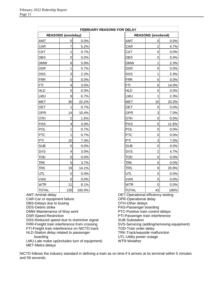| <b>REASONS (weekday)</b><br>AMT<br>0.0%<br>0 | <b>REASONS</b> (weekend)<br>AMT<br>0 |
|----------------------------------------------|--------------------------------------|
|                                              |                                      |
|                                              |                                      |
| $\overline{7}$<br>5.2%<br>CAR                | $\overline{2}$<br>CAR                |
| $\mathbf{1}$<br>CAT<br>0.7%                  | CAT<br>$\mathbf 0$                   |
| $\mathbf 0$<br><b>DBS</b><br>0.0%            | $\overline{0}$<br><b>DBS</b>         |
| 8<br><b>DMW</b><br>5.9%                      | <b>DMW</b><br>1                      |
| 1<br><b>DSR</b><br>0.7%                      | <b>DSR</b><br>0                      |
| 3<br><b>DSS</b><br>2.2%                      | 1<br>DSS                             |
| $\mathbf 0$<br><b>FRR</b><br>0.0%            | <b>FRR</b><br>$\mathbf 0$            |
| $\overline{\mathbf{4}}$<br>FΤI<br>3.0%       | 6<br><b>FTI</b>                      |
| <b>HLD</b><br>$\overline{0}$<br>0.0%         | <b>HLD</b><br>$\overline{0}$         |
| 9<br>LMU<br>6.7%                             | LMU<br>1                             |
| 30<br><b>MET</b><br>22.2%                    | 10<br><b>MET</b>                     |
| <b>OET</b><br>1<br>0.7%                      | <b>OET</b><br>$\mathbf 0$            |
| 14<br>10.4%<br><b>OPR</b>                    | 3<br><b>OPR</b>                      |
| $\overline{c}$<br><b>OTH</b><br>1.5%         | <b>OTH</b><br>$\mathbf 0$            |
| $\overline{\mathbf{4}}$<br>PAS<br>3.0%       | 5<br>PAS                             |
| 1<br>POL<br>0.7%                             | POL<br>$\overline{0}$                |
| <b>PTC</b><br>1<br>0.7%                      | <b>PTC</b><br>$\mathbf 0$            |
| 10<br>PTI<br>7.4%                            | 3<br>PTI                             |
| <b>SUB</b><br>$\mathbf 0$<br>0.0%            | $\mathbf 0$<br><b>SUB</b>            |
| $\overline{4}$<br>SVS<br>3.0%                | $\overline{2}$<br>SVS                |
| <b>TOD</b><br>$\overline{0}$<br>0.0%         | $\overline{0}$<br>TOD                |
| 5<br>TRK<br>3.7%                             | $\mathbf 0$<br><b>TRK</b>            |
| 19<br><b>TRS</b><br>14.1%                    | 9<br><b>TRS</b>                      |
| UTL<br>$\overline{0}$<br>0.0%                | UTL<br>$\overline{0}$                |
| $\mathbf 0$<br>VAN<br>0.0%                   | VAN<br>0                             |
| 11<br>WTR<br>8.1%                            | WTR<br>0                             |
| 135<br><b>TOTAL</b><br>100.0%                | 43<br><b>TOTAL</b>                   |

DSR-Speed Restriction

DSS-Reduced speed due to restrictive signal FRR-Freight train interference from crossing FTI-Freight train interference on NICTD track

HLD-Station delay related to passenger

boarding

LMU-Late make up(includes turn of equipment) MET-Metra delays

PTC-Positive train control delays PTI-Passenger train interference SUB-Substation SVS-Servicing (adding/removing equipment) TOD-Train order delay TRK-Track/wayside malfunction UTL-Utility power outage

WTR-Weather

NICTD follows the industry standard in defining a train as on time if it arrives at its terminal within 5 minutes and 59 seconds.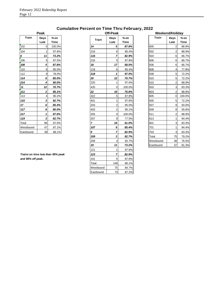#### **Train Days % on Days % on Train Days % on Late Time Late Time Late Time** 102 | 0| 100.0%| |14 | 5| *87.8%*| ||600 2| 88.9%| 104 1 97.6% 216 6 85.4% 502 2 88.9% *6 11 73.2% 116 7 82.9%* 504 6 66.7% 106 5 87.5% 216 5 87.8% 606 6 66.7% **108** | 5| **87.8%** | |18 | 17| 58.5% | | 506 | 6| 66.7% | 110 6 85.0% 118 6 85.4% 608 4 77.8% 112 | 9| 78.0%| |**218** | 1| **97.5%**| ||508 | 5| 72.2%| *114 6 85.0% 20 12 70.7%* 610 5 72.2% **214** | **4** | **90.0%** | **200 | 1 | 97.6% | 510 | 2 88.9% | 11 12 70.7% 120 100.0% 503 1603** 161 161 **170.0%** 1603 163.3% *111 2 95.1% 22 10 75.6%* 603 2 88.9% 113 4 90.2% 422 5 87.8% 605 0 100.0% **115 3 92.7% 401 1 97.6% 505 505 512.2%** *17 6 85.4%* 203 2 95.0% 507 9 50.0% **117 8 80.0% 103** 2 95.1% 509 8 55.6% **217 | 1 97.6% 20**5 | 0 100.0% 511 | 2 88.9% **119 3 92.7% 10 1 207 1 9 77.5% 613 1 94.4%** Total 86 87.6% *7 16 61.0%* 601 3 83.3% Westbound 47 87.1% *107 6 85.4%* 701 1 94.4% Eastbound 39 88.1% *9 7 82.9%* 703 3 83.3% *109 3 92.7%* Total 75 79.2% 209 3 92.7% Westbound 38 76.5% **19 11 73.2% Eastbound 37 81.3%** 121 1 97.6% *Trains on time less than 95% peak 123 7 82.9%* **and 85% off peak.** 101  $\begin{array}{|c|c|c|c|c|} \hline \end{array}$  87.8% Total 148 86.1% Westbound 75 84.7% Eastbound 73 87.2% **Train**

| Peak           |                       |
|----------------|-----------------------|
| Days<br>Late   | $%$ on<br><b>Time</b> |
| $\mathbf 0$    | 100.0%                |
| 1              | 97.6%                 |
| 11             | 73.2%                 |
| 5              | 87.5%                 |
| 5              | 87.8%                 |
| 6              | 85.0%                 |
| 9              | 78.0%                 |
| 6              | 85.0%                 |
| 4              | 90.0%                 |
| 12             | 70.7%                 |
| 2              | 95.1%                 |
| $\overline{4}$ | 90.2%                 |
| 3              | 92.7%                 |
| 6              | 85.4%                 |
| 8              | 80.0%                 |
| 1              | 97.6%                 |
| 3              | 92.7%                 |
| 86             | 87.6%                 |
| 47             | 87.1%                 |
| 39             | 88.1%                 |
|                |                       |
|                |                       |
|                |                       |

#### **Cumulative Percent on Time Thru February, 2022**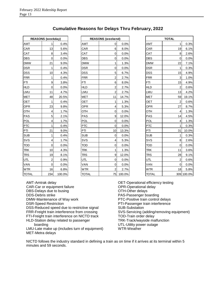| <b>REASONS (weekday)</b> |                 |        |  |  |  |  |
|--------------------------|-----------------|--------|--|--|--|--|
| AMT                      | 1               | 0.4%   |  |  |  |  |
| CAR                      | 13              | 5.6%   |  |  |  |  |
| <u>CAT</u>               | 8               | 3.4%   |  |  |  |  |
| DBS                      | 0               | 0.0%   |  |  |  |  |
| <b>DMW</b>               | 21              | 9.0%   |  |  |  |  |
| <b>DSR</b>               | 1               | 0.4%   |  |  |  |  |
| DSS                      | 10              | 4.3%   |  |  |  |  |
| <b>FRR</b>               | 1               | 0.4%   |  |  |  |  |
| <b>FTI</b>               | 9               | 3.8%   |  |  |  |  |
| <b>HLD</b>               | 0               | 0.0%   |  |  |  |  |
| LMU                      | 11              | 4.7%   |  |  |  |  |
| MET                      | 48              | 20.5%  |  |  |  |  |
| OET                      | 1               | 0.4%   |  |  |  |  |
| <u>OPR</u>               | $\overline{23}$ | 9.8%   |  |  |  |  |
| OTH                      | 4               | 1.7%   |  |  |  |  |
| PAS                      | 5               | 2.1%   |  |  |  |  |
| <b>POL</b>               | 4               | 1.7%   |  |  |  |  |
| <b>PTC</b>               | 1               | 0.4%   |  |  |  |  |
| PTI                      | 21              | 9.0%   |  |  |  |  |
| <b>SUB</b>               | 1               | 0.4%   |  |  |  |  |
| SVS                      | 4               | 1.7%   |  |  |  |  |
| <b>TOD</b>               | 0               | 0.0%   |  |  |  |  |
| <b>TRK</b>               | 10              | 4.3%   |  |  |  |  |
| <b>TRS</b>               | 19              | 8.1%   |  |  |  |  |
| UTL                      | $\overline{2}$  | 0.9%   |  |  |  |  |
| VAN                      | 0               | 0.0%   |  |  |  |  |
| WTR                      | 16              | 6.8%   |  |  |  |  |
| TOTAL                    | 234             | 100.0% |  |  |  |  |

| Cumulative Reasons for Delays Thru February, 2022 |  |  |  |  |  |
|---------------------------------------------------|--|--|--|--|--|
|---------------------------------------------------|--|--|--|--|--|

|            | <b>REASONS (weekday)</b> |        |              | <b>REASONS</b> (weekend) |           |              | <b>TOTAL</b>   |            |
|------------|--------------------------|--------|--------------|--------------------------|-----------|--------------|----------------|------------|
| AMT        | 1                        | 0.4%   | <b>AMT</b>   | 0                        | 0.0%      | <b>AMT</b>   | 1              | 0.3%       |
| CAR        | 13                       | 5.6%   | CAR          | 6                        | 8.0%      | CAR          | 19             | 6.1%       |
| CAT        | 8                        | 3.4%   | CAT          | $\mathbf{0}$             | 0.0%      | CAT          | 8              | 2.6%       |
| DBS        | $\mathbf 0$              | 0.0%   | <b>DBS</b>   | $\mathbf 0$              | 0.0%      | <b>DBS</b>   | $\Omega$       | 0.0%       |
| DMW        | 21                       | 9.0%   | <b>DMW</b>   | $\mathbf{1}$             | 1.3%      | <b>DMW</b>   | 22             | 7.1%       |
| DSR        | 1                        | 0.4%   | <b>DSR</b>   | 0                        | 0.0%      | <b>DSR</b>   | $\mathbf{1}$   | 0.3%       |
| DSS        | 10                       | 4.3%   | <b>DSS</b>   | 5                        | 6.7%      | <b>DSS</b>   | 15             | 4.9%       |
| <b>FRR</b> | 1                        | 0.4%   | <b>FRR</b>   | $\overline{2}$           | 2.7%      | <b>FRR</b>   | 3              | 1.0%       |
| FTI        | 9                        | 3.8%   | <b>FTI</b>   | $\,6$                    | 8.0%      | <b>FTI</b>   | 15             | 4.9%       |
| <b>HLD</b> | 0                        | 0.0%   | <b>HLD</b>   | $\overline{c}$           | 2.7%      | <b>HLD</b>   | 2              | 0.6%       |
| LMU        | 11                       | 4.7%   | LMU          | $\overline{c}$           | 2.7%      | LMU          | 13             | 4.2%       |
| MET        | 48                       | 20.5%  | <b>MET</b>   | 11                       | 14.7%     | <b>MET</b>   | 59             | 19.1%      |
| OET        | $\mathbf{1}$             | 0.4%   | <b>OET</b>   | $\mathbf{1}$             | 1.3%      | <b>OET</b>   | $\overline{2}$ | 0.6%       |
| OPR        | 23                       | 9.8%   | <b>OPR</b>   | 4                        | 5.3%      | <b>OPR</b>   | 27             | 8.7%       |
| OTH        | 4                        | 1.7%   | OTH          | $\mathbf 0$              | 0.0%      | OTH          | 4              | 1.3%       |
| PAS        | 5 <sup>5</sup>           | 2.1%   | <b>PAS</b>   | 9                        | 12.0%     | <b>PAS</b>   | 14             | 4.5%       |
| POL        | 4                        | 1.7%   | POL          | $\pmb{0}$                | 0.0%      | <b>POL</b>   | $\overline{4}$ | 1.3%       |
| PTC        | 1                        | 0.4%   | <b>PTC</b>   | $\mathbf 0$              | 0.0%      | <b>PTC</b>   | 1              | 0.3%       |
| PTI        | 21                       | 9.0%   | PTI          | 10                       | 13.3%     | PTI          | 31             | 10.0%      |
| SUB        | 1                        | 0.4%   | <b>SUB</b>   | $\mathbf 0$              | 0.0%      | <b>SUB</b>   | 1              | 0.3%       |
| SVS        | 4                        | 1.7%   | SVS          | 4                        | 5.3%      | SVS          | 8              | 2.6%       |
| TOD        | $\mathbf 0$              | 0.0%   | TOD          | 0                        | 0.0%      | <b>TOD</b>   | $\Omega$       | 0.0%       |
| TRK        | 10                       | 4.3%   | TRK          | 1                        | 1.3%      | <b>TRK</b>   | 11             | 3.6%       |
| TRS        | 19                       | 8.1%   | <b>TRS</b>   | 9                        | 12.0%     | <b>TRS</b>   | 28             | 9.1%       |
| UTL        | $\boldsymbol{2}$         | 0.9%   | UΤL          | 0                        | 0.0%      | UTL          | $\overline{2}$ | 0.6%       |
| VAN        | 0                        | 0.0%   | VAN          | 0                        | 0.0%      | <b>VAN</b>   | 0              | 0.0%       |
| <b>WTR</b> | 16                       | 6.8%   | <b>WTR</b>   | $\overline{2}$           | 2.7%      | <b>WTR</b>   | 18             | 5.8%       |
| TOTAI      | 234                      | 100.0% | <b>TOTAL</b> |                          | 75 100.0% | <b>TOTAL</b> |                | 309 100.0% |

|              | <b>REASONS</b> (weekday)<br>1<br>13 |        |              | <b>REASONS (weekend)</b> |        |              | <b>TOTAL</b>   |            |
|--------------|-------------------------------------|--------|--------------|--------------------------|--------|--------------|----------------|------------|
| AMT          |                                     | 0.4%   | <b>AMT</b>   | $\overline{0}$           | 0.0%   | AMT          | $\mathbf{1}$   | 0.3%       |
| CAR          |                                     | 5.6%   | CAR          | $6 \overline{6}$         | 8.0%   | CAR          | 19             | 6.1%       |
| CAT          | 8                                   | 3.4%   | CAT          | $\overline{0}$           | 0.0%   | CAT          | 8              | 2.6%       |
| DBS          | $\mathbf 0$                         | 0.0%   | <b>DBS</b>   | $\overline{0}$           | 0.0%   | <b>DBS</b>   | 0              | 0.0%       |
| <b>DMW</b>   | 21                                  | 9.0%   | <b>DMW</b>   | 1                        | 1.3%   | <b>DMW</b>   | 22             | 7.1%       |
| DSR          | 1                                   | 0.4%   | <b>DSR</b>   | 0                        | 0.0%   | <b>DSR</b>   | 1              | 0.3%       |
| <u>DSS</u>   | 10                                  | 4.3%   | <b>DSS</b>   | 5                        | 6.7%   | <b>DSS</b>   | 15             | 4.9%       |
| FRR          | 1                                   | 0.4%   | <b>FRR</b>   | $\overline{c}$           | 2.7%   | <b>FRR</b>   | 3              | 1.0%       |
| FTI          | 9                                   | 3.8%   | <b>FTI</b>   | 6                        | 8.0%   | <b>FTI</b>   | 15             | 4.9%       |
| <b>HLD</b>   | $\mathbf 0$                         | 0.0%   | <b>HLD</b>   | $\overline{c}$           | 2.7%   | <b>HLD</b>   | $\overline{2}$ | 0.6%       |
| LMU          | 11                                  | 4.7%   | LMU          | $\overline{c}$           | 2.7%   | LMU          | 13             | 4.2%       |
| MET          | 48                                  | 20.5%  | <b>MET</b>   | 11                       | 14.7%  | <b>MET</b>   | 59             | 19.1%      |
| OET          | 1                                   | 0.4%   | <b>OET</b>   | 1                        | 1.3%   | OET          | 2              | 0.6%       |
| OPR          | 23                                  | 9.8%   | <b>OPR</b>   | 4                        | 5.3%   | <b>OPR</b>   | 27             | 8.7%       |
| OTH          | 4                                   | 1.7%   | OTH          | $\overline{0}$           | 0.0%   | OTH          | 4              | 1.3%       |
| PAS          | $\overline{5}$                      | 2.1%   | <b>PAS</b>   | 9                        | 12.0%  | <b>PAS</b>   | 14             | 4.5%       |
| <b>POL</b>   | $\vert 4 \vert$                     | 1.7%   | POL          | $\overline{0}$           | 0.0%   | POL          | 4              | 1.3%       |
| PTC          | 1                                   | 0.4%   | <b>PTC</b>   | 0                        | 0.0%   | <b>PTC</b>   | 1              | 0.3%       |
| PTI          | 21                                  | 9.0%   | PTI          | 10                       | 13.3%  | PTI          | 31             | 10.0%      |
| SUB          | 1                                   | 0.4%   | <b>SUB</b>   | 0                        | 0.0%   | <b>SUB</b>   | 1              | 0.3%       |
| SVS          | $\vert 4 \vert$                     | 1.7%   | SVS          | 4                        | 5.3%   | SVS          | 8              | 2.6%       |
| TOD          | 0                                   | 0.0%   | <b>TOD</b>   | 0                        | 0.0%   | TOD          | 0              | 0.0%       |
| TRK          | 10                                  | 4.3%   | <b>TRK</b>   | 1                        | 1.3%   | <b>TRK</b>   | 11             | 3.6%       |
| <b>TRS</b>   | 19                                  | 8.1%   | <b>TRS</b>   | 9                        | 12.0%  | TRS          | 28             | 9.1%       |
| UTL          | $\overline{2}$                      | 0.9%   | UTL          | $\overline{0}$           | 0.0%   | UTL          | 2              | 0.6%       |
| VAN          | $\overline{0}$                      | 0.0%   | <b>VAN</b>   | $\overline{0}$           | 0.0%   | VAN          | 0              | 0.0%       |
| <b>WTR</b>   | 16                                  | 6.8%   | <b>WTR</b>   | $\overline{c}$           | 2.7%   | <b>WTR</b>   | 18             | 5.8%       |
| <b>TOTAL</b> | 234                                 | 100.0% | <b>TOTAL</b> | 75                       | 100.0% | <b>TOTAL</b> |                | 309 100.0% |

AMT-Amtrak delay CAR-Car or equipment failure DBS-Delays due to busing DDS-Debris strike DMW-Maintenance of Way work DSR-Speed Restriction DSS-Reduced speed due to restrictive signal FRR-Freight train interference from crossing FTI-Freight train interference on NICTD track HLD-Station delay related to passenger boarding

LMU-Late make up (includes turn of equipment) MET-Metra delays

OET-Operational efficiency testing OPR-Operational delay OTH-Other delays PAS-Passenger boarding PTC-Positive train control delays PTI-Passenger train interference SUB-Substation SVS-Servicing (adding/removing equipment) TOD-Train order delay TRK-Track/wayside malfunction UTL-Utility power outage WTR-Weather

NICTD follows the industry standard in defining a train as on time if it arrives at its terminal within 5 minutes and 59 seconds.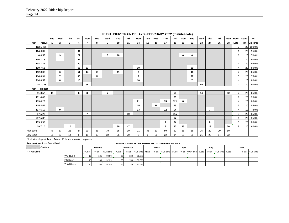|           |               | Tue | Wed            | Thu | Fri | Mon            | Tue | Wed            | Thu | Fri | Mon            | Tue | Wed | Thu            | Fri | Mon | Tue            | Wed | Thu            | Fri | Mon | Days        | Days | %       |
|-----------|---------------|-----|----------------|-----|-----|----------------|-----|----------------|-----|-----|----------------|-----|-----|----------------|-----|-----|----------------|-----|----------------|-----|-----|-------------|------|---------|
| Train     | Arrive        |     | $\mathbf{2}$   | 3   | 4   | $\overline{7}$ | 8   | 9              | 10  | 11  | 14             | 15  | 16  | 17             | 18  | 21  | 22             | 23  | 24             | 25  | 28  | Late        | Ran  | On Time |
|           | 102 5:48a     |     |                |     |     |                |     |                |     |     |                |     |     |                |     |     |                |     |                |     |     | $\mathbf 0$ | 20   | 100.0%  |
|           | 104 6:31      |     |                |     | 94  |                |     |                |     |     |                |     |     |                |     |     |                |     |                |     |     |             | 20   | 95.0%   |
|           | 6 6:55        |     | 9              |     | 72  |                |     | 8              | 10  |     |                |     |     |                |     | 6   | 6              |     |                |     |     | 6           | 20   | 70.0%   |
|           | 106 7:13      |     | $\overline{7}$ |     | 62  |                |     |                |     |     |                |     |     |                |     |     |                |     |                |     |     | 2           | 20   | 90.0%   |
|           | 108 7:35      |     |                |     | 50  |                |     |                |     |     |                |     |     |                |     |     |                |     |                |     |     |             | 20   | 95.0%   |
|           | 110 7:51      |     |                |     | 56  | 53             |     |                |     |     | 10             |     |     |                |     |     | 59             |     |                |     |     |             | 20   | 80.0%   |
|           | 112 8:08      |     | 6              |     | 51  | 14             | 13  |                | 11  |     | $\overline{7}$ |     |     |                |     |     | 16             |     |                |     |     |             | 20   | 65.0%   |
|           | 114 8:31      |     | $\overline{7}$ |     | 30  |                | 14  |                |     |     | 9              |     |     |                |     |     | 27             |     |                |     |     | 5           | 20   | 75.0%   |
|           | 214 8:52      |     | 8              |     | 15  |                |     |                |     |     | 10             |     |     |                |     |     | $\overline{7}$ |     |                |     |     |             | 20   | 80.0%   |
|           | 14 10:28      |     |                |     |     | 96             |     |                |     |     |                |     |     |                |     |     |                | 45  |                |     |     | 2           | 20   | 90.0%   |
| Train     | <b>Depart</b> |     |                |     |     |                |     |                |     |     |                |     |     |                |     |     |                |     |                |     |     |             |      |         |
|           | 11 3:57       | 11  |                |     | 8   | 8              |     | $\overline{7}$ |     |     |                |     |     |                | 55  |     |                | 14  |                |     | 42  |             | 20   | 65.0%   |
|           | 111 4:02      |     |                |     |     |                |     |                |     |     |                |     |     |                | 63  |     |                |     |                |     |     |             | 20   | 95.0%   |
|           | 113 4:28      |     |                |     |     |                |     |                |     |     | 21             |     |     | 35             | 121 | 8   |                |     |                |     |     |             | 20   | 80.0%   |
|           | 115 4:57      |     |                |     |     |                |     |                |     |     | 15             |     | 16  |                | 73  |     |                |     |                |     |     | 3           | 20   | 85.0%   |
|           | 117 5:10      |     | 9              |     |     |                |     |                |     |     | 13             |     |     | 12             | Α   |     |                |     | $\overline{7}$ |     |     |             | 19   | 78.9%   |
|           | 17 5:28       |     |                |     |     | $\overline{7}$ |     |                |     | 10  |                |     |     |                | 115 |     |                |     |                |     |     | 3           | 20   | 85.0%   |
|           | 217 5:32      |     |                |     |     |                |     |                |     |     |                |     |     |                | 67  |     |                |     |                |     |     |             | 20   | 95.0%   |
|           | 119 5:58      |     |                |     |     |                |     |                |     |     |                |     |     | $\overline{7}$ | 94  |     |                |     | 8              |     |     | 3           | 20   | 85.0%   |
|           | 19 7:10       |     |                | 10  |     |                |     |                | 30  | 47  |                |     |     | 8              | 30  | 13  |                |     | 19             |     | 30  | 8           | 20   | 60.0%   |
| High temp |               | 46  | 37             | 21  | 24  | 29             | 38  | 39             | 35  | 39  | 21             | 36  | 53  | 50             | 32  | 55  | 55             | 25  | 29             | 29  | 50  |             |      |         |
| Low temp  |               | 28  | 20             | 14  | 5   | 18             | 12  | 32             | 26  | 29  | 6              | 6   | 36  | 22             | 14  | 29  | 25             | 21  | 20             | 14  | 22  |             |      |         |

**RUSH HOUR\* TRAIN DELAYS - FEBRUARY 2022 (minutes late)**

\* Includes off-peak Trains 14 and 19 for comparative purposes

#### Temperatures from South Bend **MONTHLY SUMMARY OF RUSH HOUR ON TIME PERFORMANCE**

## On time **January February March April May June**

| A = Annulled |                   | #Late | #Ran | %On time | #Late      |     |       |  | #Ran  %On time  #Late   #Ran  %On time  #Late   #Ran  %On time  #Late   #Ran  %On time  #Late |  |  |  |  | #Ran %On time |
|--------------|-------------------|-------|------|----------|------------|-----|-------|--|-----------------------------------------------------------------------------------------------|--|--|--|--|---------------|
|              | <b>WB Rush</b>    |       | 1851 | 90.8%    | 30         | 180 | 83.3% |  |                                                                                               |  |  |  |  |               |
|              | <b>EB Rush</b>    |       | 168  | 92.3%    | <b>261</b> | 159 | 83.6% |  |                                                                                               |  |  |  |  |               |
|              | <b>Total Rush</b> |       | 353  | 91.5%    | 56         | 339 | 83.5% |  |                                                                                               |  |  |  |  |               |